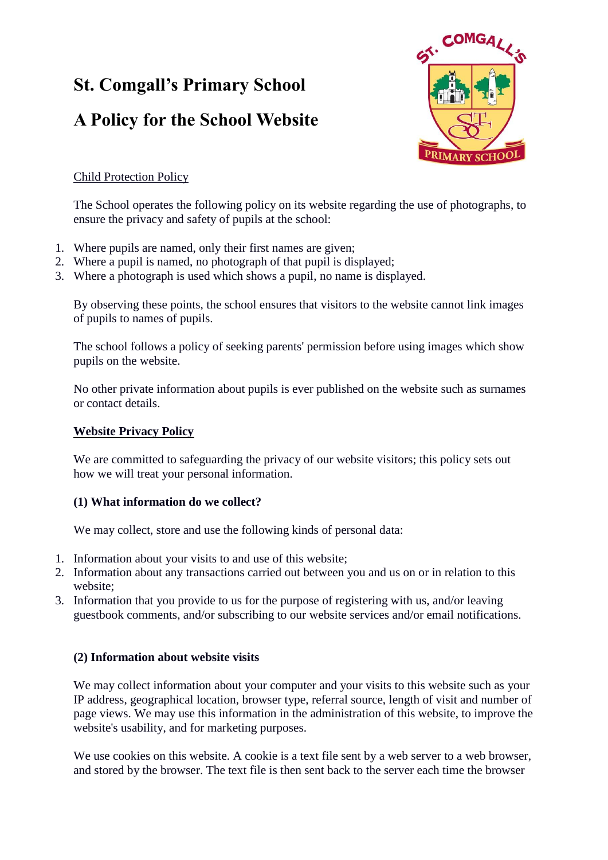# **St. Comgall's Primary School**

## **A Policy for the School Website**



## Child Protection Policy

The School operates the following policy on its website regarding the use of photographs, to ensure the privacy and safety of pupils at the school:

- 1. Where pupils are named, only their first names are given;
- 2. Where a pupil is named, no photograph of that pupil is displayed;
- 3. Where a photograph is used which shows a pupil, no name is displayed.

By observing these points, the school ensures that visitors to the website cannot link images of pupils to names of pupils.

The school follows a policy of seeking parents' permission before using images which show pupils on the website.

No other private information about pupils is ever published on the website such as surnames or contact details.

### **Website Privacy Policy**

We are committed to safeguarding the privacy of our website visitors; this policy sets out how we will treat your personal information.

## **(1) What information do we collect?**

We may collect, store and use the following kinds of personal data:

- 1. Information about your visits to and use of this website;
- 2. Information about any transactions carried out between you and us on or in relation to this website;
- 3. Information that you provide to us for the purpose of registering with us, and/or leaving guestbook comments, and/or subscribing to our website services and/or email notifications.

## **(2) Information about website visits**

We may collect information about your computer and your visits to this website such as your IP address, geographical location, browser type, referral source, length of visit and number of page views. We may use this information in the administration of this website, to improve the website's usability, and for marketing purposes.

We use cookies on this website. A cookie is a text file sent by a web server to a web browser, and stored by the browser. The text file is then sent back to the server each time the browser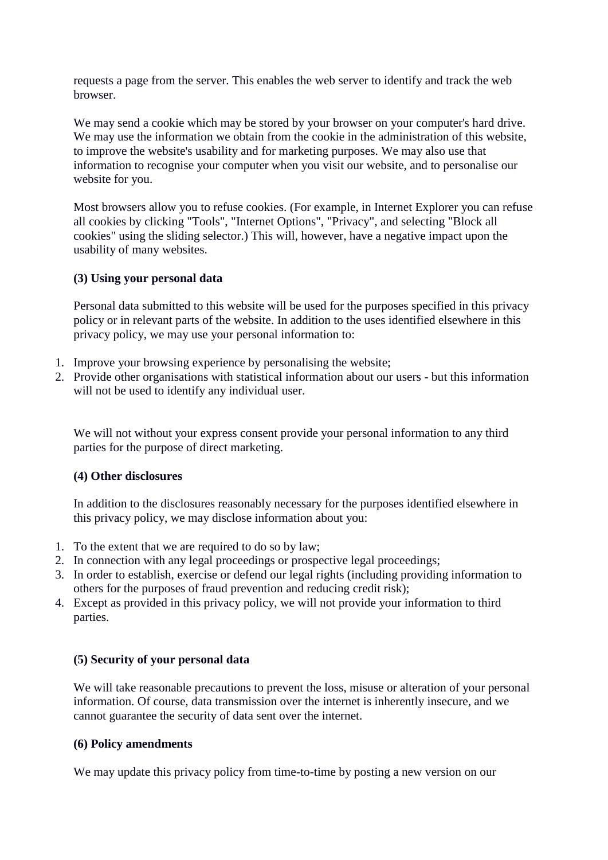requests a page from the server. This enables the web server to identify and track the web browser.

We may send a cookie which may be stored by your browser on your computer's hard drive. We may use the information we obtain from the cookie in the administration of this website, to improve the website's usability and for marketing purposes. We may also use that information to recognise your computer when you visit our website, and to personalise our website for you.

Most browsers allow you to refuse cookies. (For example, in Internet Explorer you can refuse all cookies by clicking "Tools", "Internet Options", "Privacy", and selecting "Block all cookies" using the sliding selector.) This will, however, have a negative impact upon the usability of many websites.

#### **(3) Using your personal data**

Personal data submitted to this website will be used for the purposes specified in this privacy policy or in relevant parts of the website. In addition to the uses identified elsewhere in this privacy policy, we may use your personal information to:

- 1. Improve your browsing experience by personalising the website;
- 2. Provide other organisations with statistical information about our users but this information will not be used to identify any individual user.

We will not without your express consent provide your personal information to any third parties for the purpose of direct marketing.

#### **(4) Other disclosures**

In addition to the disclosures reasonably necessary for the purposes identified elsewhere in this privacy policy, we may disclose information about you:

- 1. To the extent that we are required to do so by law;
- 2. In connection with any legal proceedings or prospective legal proceedings;
- 3. In order to establish, exercise or defend our legal rights (including providing information to others for the purposes of fraud prevention and reducing credit risk);
- 4. Except as provided in this privacy policy, we will not provide your information to third parties.

#### **(5) Security of your personal data**

We will take reasonable precautions to prevent the loss, misuse or alteration of your personal information. Of course, data transmission over the internet is inherently insecure, and we cannot guarantee the security of data sent over the internet.

#### **(6) Policy amendments**

We may update this privacy policy from time-to-time by posting a new version on our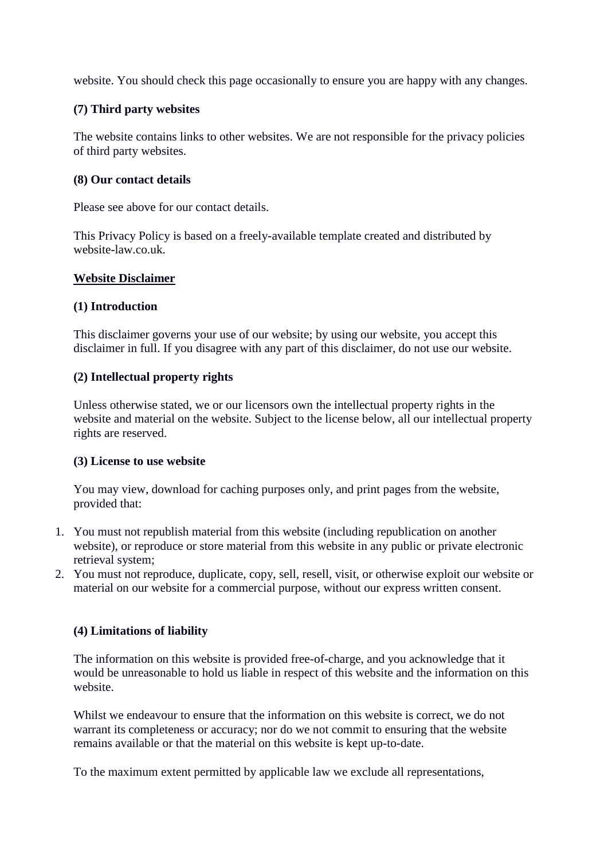website. You should check this page occasionally to ensure you are happy with any changes.

#### **(7) Third party websites**

The website contains links to other websites. We are not responsible for the privacy policies of third party websites.

#### **(8) Our contact details**

Please see above for our contact details.

This Privacy Policy is based on a freely-available template created and distributed by [website-law.co.uk.](http://website-law.co.uk./)

#### **Website Disclaimer**

#### **(1) Introduction**

This disclaimer governs your use of our website; by using our website, you accept this disclaimer in full. If you disagree with any part of this disclaimer, do not use our website.

#### **(2) Intellectual property rights**

Unless otherwise stated, we or our licensors own the intellectual property rights in the website and material on the website. Subject to the license below, all our intellectual property rights are reserved.

#### **(3) License to use website**

You may view, download for caching purposes only, and print pages from the website, provided that:

- 1. You must not republish material from this website (including republication on another website), or reproduce or store material from this website in any public or private electronic retrieval system;
- 2. You must not reproduce, duplicate, copy, sell, resell, visit, or otherwise exploit our website or material on our website for a commercial purpose, without our express written consent.

#### **(4) Limitations of liability**

The information on this website is provided free-of-charge, and you acknowledge that it would be unreasonable to hold us liable in respect of this website and the information on this website.

Whilst we endeavour to ensure that the information on this website is correct, we do not warrant its completeness or accuracy; nor do we not commit to ensuring that the website remains available or that the material on this website is kept up-to-date.

To the maximum extent permitted by applicable law we exclude all representations,